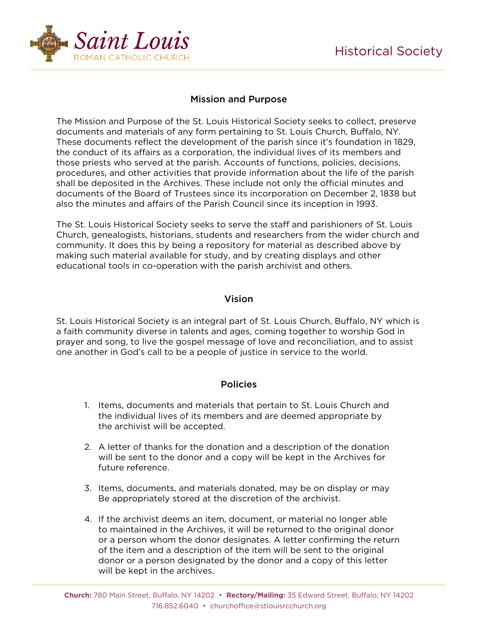

## Mission and Purpose

The Mission and Purpose of the St. Louis Historical Society seeks to collect, preserve documents and materials of any form pertaining to St. Louis Church, Buffalo, NY. These documents reflect the development of the parish since it's foundation in 1829, the conduct of its affairs as a corporation, the individual lives of its members and those priests who served at the parish. Accounts of functions, policies, decisions, procedures, and other activities that provide information about the life of the parish shall be deposited in the Archives. These include not only the official minutes and documents of the Board of Trustees since its incorporation on December 2, 1838 but also the minutes and affairs of the Parish Council since its inception in 1993.

The St. Louis Historical Society seeks to serve the staff and parishioners of St. Louis Church, genealogists, historians, students and researchers from the wider church and community. It does this by being a repository for material as described above by making such material available for study, and by creating displays and other educational tools in co-operation with the parish archivist and others.

## Vision

St. Louis Historical Society is an integral part of St. Louis Church, Buffalo, NY which is a faith community diverse in talents and ages, coming together to worship God in prayer and song, to live the gospel message of love and reconciliation, and to assist one another in God's call to be a people of justice in service to the world.

## Policies

- 1. Items, documents and materials that pertain to St. Louis Church and the individual lives of its members and are deemed appropriate by the archivist will be accepted.
- 2. A letter of thanks for the donation and a description of the donation will be sent to the donor and a copy will be kept in the Archives for future reference.
- 3. Items, documents, and materials donated, may be on display or may Be appropriately stored at the discretion of the archivist.
- 4. If the archivist deems an item, document, or material no longer able to maintained in the Archives, it will be returned to the original donor or a person whom the donor designates. A letter confirming the return of the item and a description of the item will be sent to the original donor or a person designated by the donor and a copy of this letter will be kept in the archives.